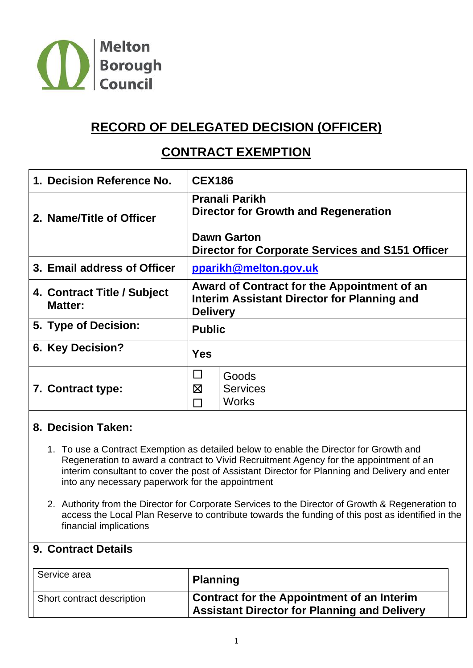

# **RECORD OF DELEGATED DECISION (OFFICER)**

## **CONTRACT EXEMPTION**

| 1. Decision Reference No.                     | <b>CEX186</b>                                                                                                 |  |  |
|-----------------------------------------------|---------------------------------------------------------------------------------------------------------------|--|--|
| 2. Name/Title of Officer                      | <b>Pranali Parikh</b><br><b>Director for Growth and Regeneration</b>                                          |  |  |
|                                               | <b>Dawn Garton</b><br>Director for Corporate Services and S151 Officer                                        |  |  |
| 3. Email address of Officer                   | pparikh@melton.gov.uk                                                                                         |  |  |
| 4. Contract Title / Subject<br><b>Matter:</b> | Award of Contract for the Appointment of an<br>Interim Assistant Director for Planning and<br><b>Delivery</b> |  |  |
| 5. Type of Decision:                          | <b>Public</b>                                                                                                 |  |  |
| 6. Key Decision?                              | <b>Yes</b>                                                                                                    |  |  |
| 7. Contract type:                             | $\Box$<br>Goods<br>$\boxtimes$<br><b>Services</b><br><b>Works</b>                                             |  |  |

#### **8. Decision Taken:**

- 1. To use a Contract Exemption as detailed below to enable the Director for Growth and Regeneration to award a contract to Vivid Recruitment Agency for the appointment of an interim consultant to cover the post of Assistant Director for Planning and Delivery and enter into any necessary paperwork for the appointment
- 2. Authority from the Director for Corporate Services to the Director of Growth & Regeneration to access the Local Plan Reserve to contribute towards the funding of this post as identified in the financial implications

#### **9. Contract Details**

| Service area               | <b>Planning</b>                                                                                          |
|----------------------------|----------------------------------------------------------------------------------------------------------|
| Short contract description | <b>Contract for the Appointment of an Interim</b><br><b>Assistant Director for Planning and Delivery</b> |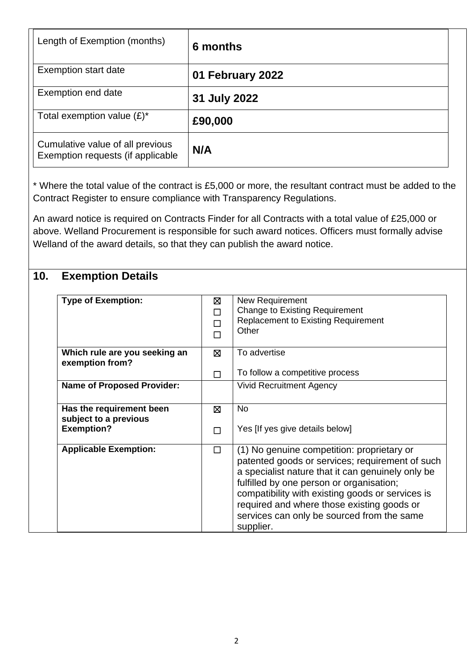| Length of Exemption (months)                                          | 6 months         |
|-----------------------------------------------------------------------|------------------|
| <b>Exemption start date</b>                                           | 01 February 2022 |
| Exemption end date                                                    | 31 July 2022     |
| Total exemption value $(E)^*$                                         | £90,000          |
| Cumulative value of all previous<br>Exemption requests (if applicable | N/A              |

\* Where the total value of the contract is £5,000 or more, the resultant contract must be added to the Contract Register to ensure compliance with Transparency Regulations.

An award notice is required on Contracts Finder for all Contracts with a total value of £25,000 or above. Welland Procurement is responsible for such award notices. Officers must formally advise Welland of the award details, so that they can publish the award notice.

## **10. Exemption Details**

| <b>Type of Exemption:</b>                         | ⊠<br>П<br>П | New Requirement<br><b>Change to Existing Requirement</b><br><b>Replacement to Existing Requirement</b><br>Other                                                                                                                                                                                                                                             |
|---------------------------------------------------|-------------|-------------------------------------------------------------------------------------------------------------------------------------------------------------------------------------------------------------------------------------------------------------------------------------------------------------------------------------------------------------|
| Which rule are you seeking an<br>exemption from?  | ⊠           | To advertise                                                                                                                                                                                                                                                                                                                                                |
|                                                   | П           | To follow a competitive process                                                                                                                                                                                                                                                                                                                             |
| <b>Name of Proposed Provider:</b>                 |             | <b>Vivid Recruitment Agency</b>                                                                                                                                                                                                                                                                                                                             |
| Has the requirement been<br>subject to a previous | ⊠           | <b>No</b>                                                                                                                                                                                                                                                                                                                                                   |
| <b>Exemption?</b>                                 | $\Box$      | Yes [If yes give details below]                                                                                                                                                                                                                                                                                                                             |
| <b>Applicable Exemption:</b>                      | $\Box$      | (1) No genuine competition: proprietary or<br>patented goods or services; requirement of such<br>a specialist nature that it can genuinely only be<br>fulfilled by one person or organisation;<br>compatibility with existing goods or services is<br>required and where those existing goods or<br>services can only be sourced from the same<br>supplier. |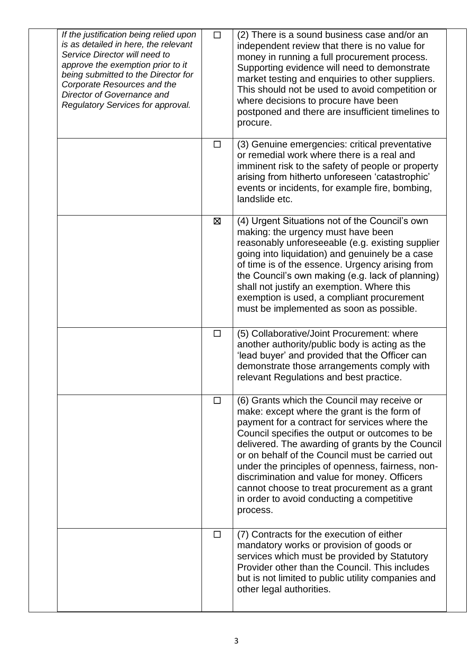| If the justification being relied upon<br>is as detailed in here, the relevant<br>Service Director will need to<br>approve the exemption prior to it<br>being submitted to the Director for<br>Corporate Resources and the<br>Director of Governance and<br>Regulatory Services for approval. | $\Box$ | (2) There is a sound business case and/or an<br>independent review that there is no value for<br>money in running a full procurement process.<br>Supporting evidence will need to demonstrate<br>market testing and enquiries to other suppliers.<br>This should not be used to avoid competition or<br>where decisions to procure have been<br>postponed and there are insufficient timelines to<br>procure.                                                                                                       |
|-----------------------------------------------------------------------------------------------------------------------------------------------------------------------------------------------------------------------------------------------------------------------------------------------|--------|---------------------------------------------------------------------------------------------------------------------------------------------------------------------------------------------------------------------------------------------------------------------------------------------------------------------------------------------------------------------------------------------------------------------------------------------------------------------------------------------------------------------|
|                                                                                                                                                                                                                                                                                               | $\Box$ | (3) Genuine emergencies: critical preventative<br>or remedial work where there is a real and<br>imminent risk to the safety of people or property<br>arising from hitherto unforeseen 'catastrophic'<br>events or incidents, for example fire, bombing,<br>landslide etc.                                                                                                                                                                                                                                           |
|                                                                                                                                                                                                                                                                                               | Σ      | (4) Urgent Situations not of the Council's own<br>making: the urgency must have been<br>reasonably unforeseeable (e.g. existing supplier<br>going into liquidation) and genuinely be a case<br>of time is of the essence. Urgency arising from<br>the Council's own making (e.g. lack of planning)<br>shall not justify an exemption. Where this<br>exemption is used, a compliant procurement<br>must be implemented as soon as possible.                                                                          |
|                                                                                                                                                                                                                                                                                               | $\Box$ | (5) Collaborative/Joint Procurement: where<br>another authority/public body is acting as the<br>'lead buyer' and provided that the Officer can<br>demonstrate those arrangements comply with<br>relevant Regulations and best practice.                                                                                                                                                                                                                                                                             |
|                                                                                                                                                                                                                                                                                               | $\Box$ | (6) Grants which the Council may receive or<br>make: except where the grant is the form of<br>payment for a contract for services where the<br>Council specifies the output or outcomes to be<br>delivered. The awarding of grants by the Council<br>or on behalf of the Council must be carried out<br>under the principles of openness, fairness, non-<br>discrimination and value for money. Officers<br>cannot choose to treat procurement as a grant<br>in order to avoid conducting a competitive<br>process. |
|                                                                                                                                                                                                                                                                                               | □      | (7) Contracts for the execution of either<br>mandatory works or provision of goods or<br>services which must be provided by Statutory<br>Provider other than the Council. This includes<br>but is not limited to public utility companies and<br>other legal authorities.                                                                                                                                                                                                                                           |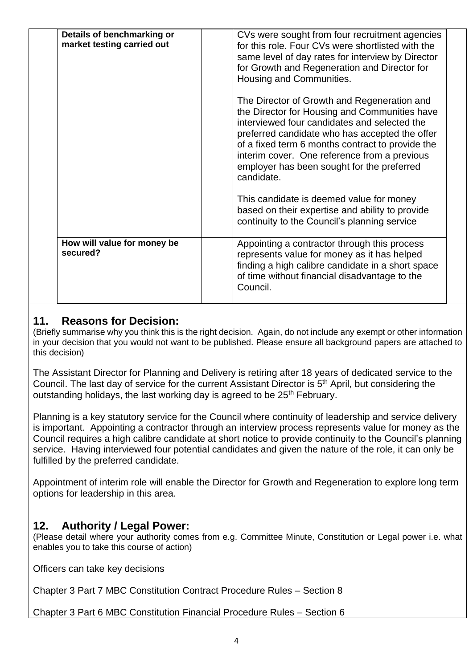| Details of benchmarking or<br>market testing carried out | CVs were sought from four recruitment agencies<br>for this role. Four CVs were shortlisted with the<br>same level of day rates for interview by Director<br>for Growth and Regeneration and Director for<br>Housing and Communities.<br>The Director of Growth and Regeneration and<br>the Director for Housing and Communities have<br>interviewed four candidates and selected the<br>preferred candidate who has accepted the offer<br>of a fixed term 6 months contract to provide the<br>interim cover. One reference from a previous<br>employer has been sought for the preferred<br>candidate.<br>This candidate is deemed value for money<br>based on their expertise and ability to provide<br>continuity to the Council's planning service |  |
|----------------------------------------------------------|-------------------------------------------------------------------------------------------------------------------------------------------------------------------------------------------------------------------------------------------------------------------------------------------------------------------------------------------------------------------------------------------------------------------------------------------------------------------------------------------------------------------------------------------------------------------------------------------------------------------------------------------------------------------------------------------------------------------------------------------------------|--|
| How will value for money be<br>secured?                  | Appointing a contractor through this process<br>represents value for money as it has helped<br>finding a high calibre candidate in a short space<br>of time without financial disadvantage to the<br>Council.                                                                                                                                                                                                                                                                                                                                                                                                                                                                                                                                         |  |

## **11. Reasons for Decision:**

(Briefly summarise why you think this is the right decision. Again, do not include any exempt or other information in your decision that you would not want to be published. Please ensure all background papers are attached to this decision)

The Assistant Director for Planning and Delivery is retiring after 18 years of dedicated service to the Council. The last day of service for the current Assistant Director is 5<sup>th</sup> April, but considering the outstanding holidays, the last working day is agreed to be 25<sup>th</sup> February.

Planning is a key statutory service for the Council where continuity of leadership and service delivery is important. Appointing a contractor through an interview process represents value for money as the Council requires a high calibre candidate at short notice to provide continuity to the Council's planning service. Having interviewed four potential candidates and given the nature of the role, it can only be fulfilled by the preferred candidate.

Appointment of interim role will enable the Director for Growth and Regeneration to explore long term options for leadership in this area.

### **12. Authority / Legal Power:**

(Please detail where your authority comes from e.g. Committee Minute, Constitution or Legal power i.e. what enables you to take this course of action)

Officers can take key decisions

Chapter 3 Part 7 MBC Constitution Contract Procedure Rules – Section 8

Chapter 3 Part 6 MBC Constitution Financial Procedure Rules – Section 6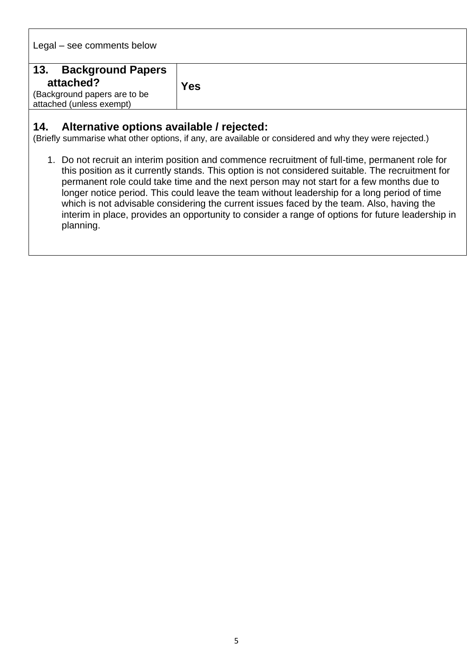Legal – see comments below

| 13.<br><b>Background Papers</b> |            |
|---------------------------------|------------|
| attached?                       | <b>Yes</b> |
| (Background papers are to be    |            |
| attached (unless exempt)        |            |

#### **14. Alternative options available / rejected:**

(Briefly summarise what other options, if any, are available or considered and why they were rejected.)

1. Do not recruit an interim position and commence recruitment of full-time, permanent role for this position as it currently stands. This option is not considered suitable. The recruitment for permanent role could take time and the next person may not start for a few months due to longer notice period. This could leave the team without leadership for a long period of time which is not advisable considering the current issues faced by the team. Also, having the interim in place, provides an opportunity to consider a range of options for future leadership in planning.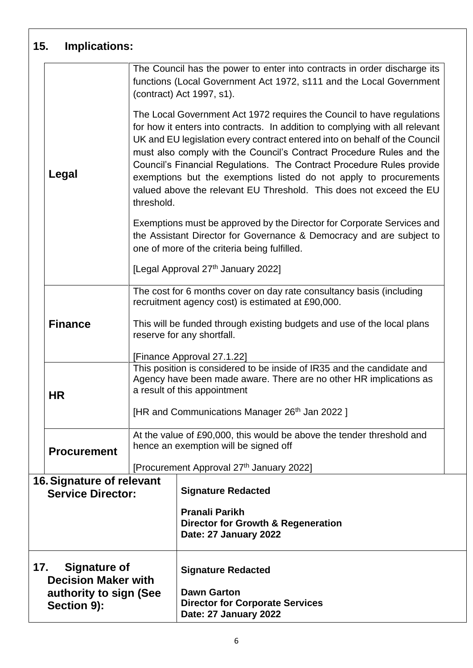|                                                                                                                         | 15.<br><b>Implications:</b>                                                                |                                                                                                                                                                                                            |                                                                                                                                                                                                                                                                                                                                                                                                                                                                                                                                   |  |
|-------------------------------------------------------------------------------------------------------------------------|--------------------------------------------------------------------------------------------|------------------------------------------------------------------------------------------------------------------------------------------------------------------------------------------------------------|-----------------------------------------------------------------------------------------------------------------------------------------------------------------------------------------------------------------------------------------------------------------------------------------------------------------------------------------------------------------------------------------------------------------------------------------------------------------------------------------------------------------------------------|--|
|                                                                                                                         |                                                                                            |                                                                                                                                                                                                            | The Council has the power to enter into contracts in order discharge its<br>functions (Local Government Act 1972, s111 and the Local Government<br>(contract) Act 1997, s1).                                                                                                                                                                                                                                                                                                                                                      |  |
|                                                                                                                         | Legal<br>threshold.                                                                        |                                                                                                                                                                                                            | The Local Government Act 1972 requires the Council to have regulations<br>for how it enters into contracts. In addition to complying with all relevant<br>UK and EU legislation every contract entered into on behalf of the Council<br>must also comply with the Council's Contract Procedure Rules and the<br>Council's Financial Regulations. The Contract Procedure Rules provide<br>exemptions but the exemptions listed do not apply to procurements<br>valued above the relevant EU Threshold. This does not exceed the EU |  |
|                                                                                                                         |                                                                                            |                                                                                                                                                                                                            | Exemptions must be approved by the Director for Corporate Services and<br>the Assistant Director for Governance & Democracy and are subject to<br>one of more of the criteria being fulfilled.                                                                                                                                                                                                                                                                                                                                    |  |
|                                                                                                                         |                                                                                            | [Legal Approval 27th January 2022]                                                                                                                                                                         |                                                                                                                                                                                                                                                                                                                                                                                                                                                                                                                                   |  |
|                                                                                                                         |                                                                                            | The cost for 6 months cover on day rate consultancy basis (including<br>recruitment agency cost) is estimated at £90,000.                                                                                  |                                                                                                                                                                                                                                                                                                                                                                                                                                                                                                                                   |  |
| <b>Finance</b><br>This will be funded through existing budgets and use of the local plans<br>reserve for any shortfall. |                                                                                            |                                                                                                                                                                                                            |                                                                                                                                                                                                                                                                                                                                                                                                                                                                                                                                   |  |
|                                                                                                                         |                                                                                            | [Finance Approval 27.1.22]<br>This position is considered to be inside of IR35 and the candidate and<br>Agency have been made aware. There are no other HR implications as<br>a result of this appointment |                                                                                                                                                                                                                                                                                                                                                                                                                                                                                                                                   |  |
|                                                                                                                         | <b>HR</b>                                                                                  |                                                                                                                                                                                                            |                                                                                                                                                                                                                                                                                                                                                                                                                                                                                                                                   |  |
|                                                                                                                         |                                                                                            |                                                                                                                                                                                                            | [HR and Communications Manager 26 <sup>th</sup> Jan 2022]                                                                                                                                                                                                                                                                                                                                                                                                                                                                         |  |
|                                                                                                                         | <b>Procurement</b>                                                                         | At the value of £90,000, this would be above the tender threshold and<br>hence an exemption will be signed off                                                                                             |                                                                                                                                                                                                                                                                                                                                                                                                                                                                                                                                   |  |
|                                                                                                                         | [Procurement Approval 27 <sup>th</sup> January 2022]                                       |                                                                                                                                                                                                            |                                                                                                                                                                                                                                                                                                                                                                                                                                                                                                                                   |  |
|                                                                                                                         | 16. Signature of relevant<br><b>Service Director:</b>                                      |                                                                                                                                                                                                            | <b>Signature Redacted</b>                                                                                                                                                                                                                                                                                                                                                                                                                                                                                                         |  |
|                                                                                                                         |                                                                                            |                                                                                                                                                                                                            | <b>Pranali Parikh</b><br><b>Director for Growth &amp; Regeneration</b><br>Date: 27 January 2022                                                                                                                                                                                                                                                                                                                                                                                                                                   |  |
|                                                                                                                         | 17.<br>Signature of<br><b>Decision Maker with</b><br>authority to sign (See<br>Section 9): |                                                                                                                                                                                                            | <b>Signature Redacted</b><br><b>Dawn Garton</b><br><b>Director for Corporate Services</b><br>Date: 27 January 2022                                                                                                                                                                                                                                                                                                                                                                                                                |  |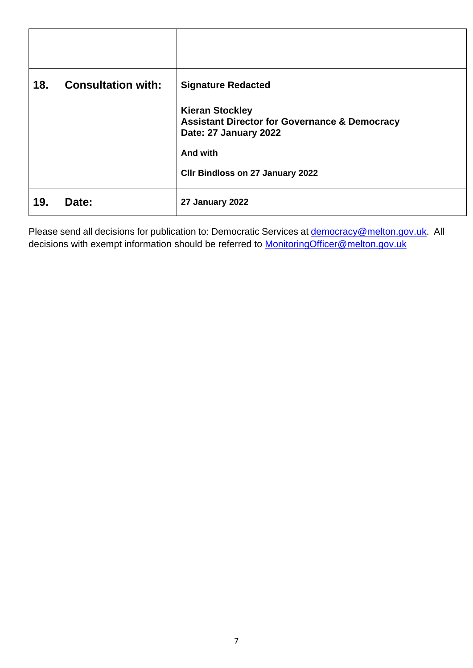| 18. | <b>Consultation with:</b> | <b>Signature Redacted</b><br><b>Kieran Stockley</b><br><b>Assistant Director for Governance &amp; Democracy</b><br>Date: 27 January 2022<br><b>And with</b><br><b>CIIr Bindloss on 27 January 2022</b> |
|-----|---------------------------|--------------------------------------------------------------------------------------------------------------------------------------------------------------------------------------------------------|
| 19. | Date:                     | 27 January 2022                                                                                                                                                                                        |

Please send all decisions for publication to: Democratic Services at **democracy@melton.gov.uk**. All decisions with exempt information should be referred to **MonitoringOfficer@melton.gov.uk**